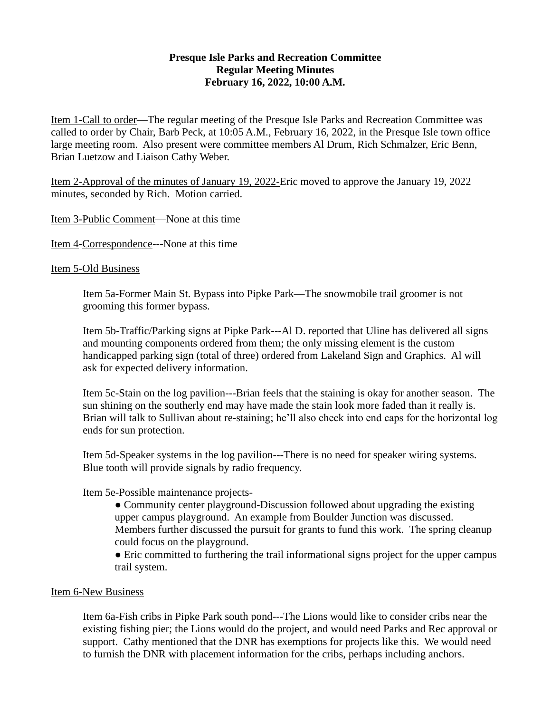## **Presque Isle Parks and Recreation Committee Regular Meeting Minutes February 16, 2022, 10:00 A.M.**

Item 1-Call to order—The regular meeting of the Presque Isle Parks and Recreation Committee was called to order by Chair, Barb Peck, at 10:05 A.M., February 16, 2022, in the Presque Isle town office large meeting room. Also present were committee members Al Drum, Rich Schmalzer, Eric Benn, Brian Luetzow and Liaison Cathy Weber.

Item 2-Approval of the minutes of January 19, 2022-Eric moved to approve the January 19, 2022 minutes, seconded by Rich. Motion carried.

Item 3-Public Comment—None at this time

Item 4-Correspondence---None at this time

## Item 5-Old Business

Item 5a-Former Main St. Bypass into Pipke Park—The snowmobile trail groomer is not grooming this former bypass.

Item 5b-Traffic/Parking signs at Pipke Park---Al D. reported that Uline has delivered all signs and mounting components ordered from them; the only missing element is the custom handicapped parking sign (total of three) ordered from Lakeland Sign and Graphics. Al will ask for expected delivery information.

Item 5c-Stain on the log pavilion---Brian feels that the staining is okay for another season. The sun shining on the southerly end may have made the stain look more faded than it really is. Brian will talk to Sullivan about re-staining; he'll also check into end caps for the horizontal log ends for sun protection.

Item 5d-Speaker systems in the log pavilion---There is no need for speaker wiring systems. Blue tooth will provide signals by radio frequency.

## Item 5e-Possible maintenance projects-

• Community center playground-Discussion followed about upgrading the existing upper campus playground. An example from Boulder Junction was discussed. Members further discussed the pursuit for grants to fund this work. The spring cleanup could focus on the playground.

● Eric committed to furthering the trail informational signs project for the upper campus trail system.

## Item 6-New Business

Item 6a-Fish cribs in Pipke Park south pond---The Lions would like to consider cribs near the existing fishing pier; the Lions would do the project, and would need Parks and Rec approval or support. Cathy mentioned that the DNR has exemptions for projects like this. We would need to furnish the DNR with placement information for the cribs, perhaps including anchors.